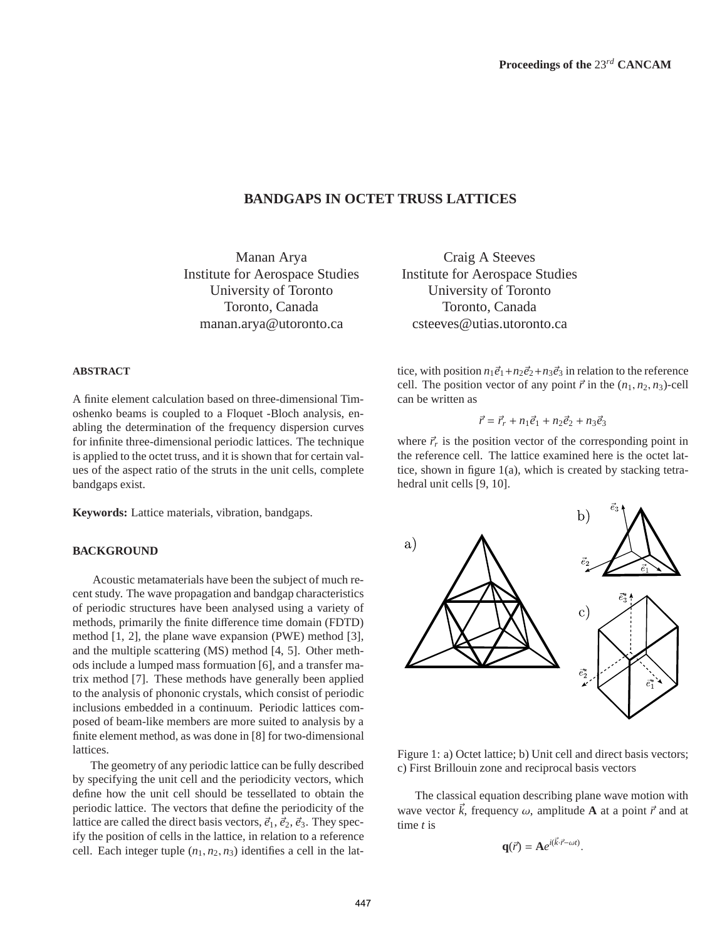# **BANDGAPS IN OCTET TRUSS LATTICES**

Manan Arya Institute for Aerospace Studies University of Toronto Toronto, Canada manan.arya@utoronto.ca

#### **ABSTRACT**

A finite element calculation based on three-dimensional Timoshenko beams is coupled to a Floquet -Bloch analysis, enabling the determination of the frequency dispersion curves for infinite three-dimensional periodic lattices. The technique is applied to the octet truss, and it is shown that for certain values of the aspect ratio of the struts in the unit cells, complete bandgaps exist.

**Keywords:** Lattice materials, vibration, bandgaps.

### **BACKGROUND**

Acoustic metamaterials have been the subject of much recent study. The wave propagation and bandgap characteristics of periodic structures have been analysed using a variety of methods, primarily the finite difference time domain (FDTD) method [1, 2], the plane wave expansion (PWE) method [3], and the multiple scattering (MS) method [4, 5]. Other methods include a lumped mass formuation [6], and a transfer matrix method [7]. These methods have generally been applied to the analysis of phononic crystals, which consist of periodic inclusions embedded in a continuum. Periodic lattices composed of beam-like members are more suited to analysis by a finite element method, as was done in [8] for two-dimensional lattices.

The geometry of any periodic lattice can be fully described by specifying the unit cell and the periodicity vectors, which define how the unit cell should be tessellated to obtain the periodic lattice. The vectors that define the periodicity of the lattice are called the direct basis vectors,  $\vec{e}_1$ ,  $\vec{e}_2$ ,  $\vec{e}_3$ . They specify the position of cells in the lattice, in relation to a reference cell. Each integer tuple  $(n_1, n_2, n_3)$  identifies a cell in the lat-

Craig A Steeves Institute for Aerospace Studies University of Toronto Toronto, Canada csteeves@utias.utoronto.ca

tice, with position  $n_1\vec{e}_1 + n_2\vec{e}_2 + n_3\vec{e}_3$  in relation to the reference cell. The position vector of any point  $\vec{r}$  in the  $(n_1, n_2, n_3)$ -cell can be written as

$$
\vec{r} = \vec{r}_r + n_1 \vec{e}_1 + n_2 \vec{e}_2 + n_3 \vec{e}_3
$$

where  $\vec{r}$  is the position vector of the corresponding point in the reference cell. The lattice examined here is the octet lattice, shown in figure 1(a), which is created by stacking tetrahedral unit cells [9, 10].



Figure 1: a) Octet lattice; b) Unit cell and direct basis vectors; c) First Brillouin zone and reciprocal basis vectors

The classical equation describing plane wave motion with wave vector  $\vec{k}$ , frequency  $\omega$ , amplitude **A** at a point  $\vec{r}$  and at time *t* is

$$
\mathbf{q}(\vec{r}) = \mathbf{A}e^{i(\vec{k}\cdot\vec{r}-\omega t)}.
$$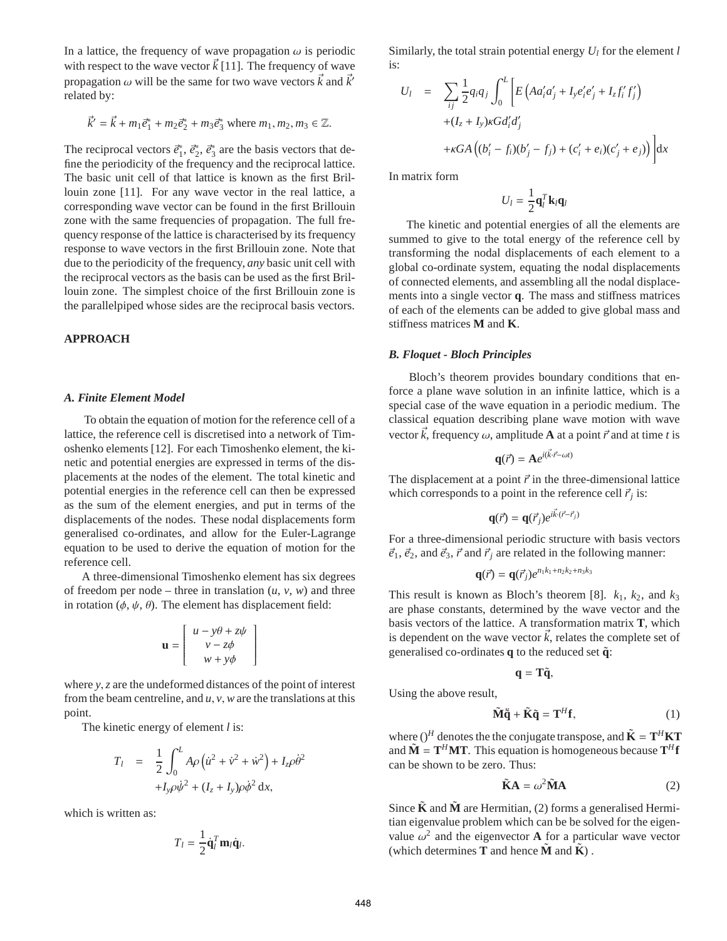In a lattice, the frequency of wave propagation  $\omega$  is periodic with respect to the wave vector  $\vec{k}$  [11]. The frequency of wave propagation  $\omega$  will be the same for two wave vectors  $\vec{k}$  and  $\vec{k}'$ related by:

$$
\vec{k}' = \vec{k} + m_1 \vec{e}_1^* + m_2 \vec{e}_2^* + m_3 \vec{e}_3^*
$$
 where  $m_1, m_2, m_3 \in \mathbb{Z}$ .

The reciprocal vectors  $\vec{e}_1^*$  $\vec{e}_1^*$ ,  $\vec{e}_2^*$  $\vec{e}_2^*, \vec{e}_3^*$  $\frac{3}{3}$  are the basis vectors that define the periodicity of the frequency and the reciprocal lattice. The basic unit cell of that lattice is known as the first Brillouin zone [11]. For any wave vector in the real lattice, a corresponding wave vector can be found in the first Brillouin zone with the same frequencies of propagation. The full frequency response of the lattice is characterised by its frequency response to wave vectors in the first Brillouin zone. Note that due to the periodicity of the frequency, *any* basic unit cell with the reciprocal vectors as the basis can be used as the first Brillouin zone. The simplest choice of the first Brillouin zone is the parallelpiped whose sides are the reciprocal basis vectors.

# **APPROACH**

#### *A. Finite Element Model*

To obtain the equation of motion for the reference cell of a lattice, the reference cell is discretised into a network of Timoshenko elements [12]. For each Timoshenko element, the kinetic and potential energies are expressed in terms of the displacements at the nodes of the element. The total kinetic and potential energies in the reference cell can then be expressed as the sum of the element energies, and put in terms of the displacements of the nodes. These nodal displacements form generalised co-ordinates, and allow for the Euler-Lagrange equation to be used to derive the equation of motion for the reference cell.

A three-dimensional Timoshenko element has six degrees of freedom per node – three in translation  $(u, v, w)$  and three in rotation ( $\phi$ ,  $\psi$ ,  $\theta$ ). The element has displacement field:

$$
\mathbf{u} = \begin{bmatrix} u - y\theta + z\psi \\ v - z\phi \\ w + y\phi \end{bmatrix}
$$

1  $\overline{\phantom{a}}$ 

where *y*,*z* are the undeformed distances of the point of interest from the beam centreline, and *u*, *v*, *w* are the translations at this point.

The kinetic energy of element *l* is:

$$
T_l = \frac{1}{2} \int_0^L A \rho \left( \dot{u}^2 + \dot{v}^2 + \dot{w}^2 \right) + I_z \rho \dot{\theta}^2
$$

$$
+ I_y \rho \dot{\phi}^2 + (I_z + I_y) \rho \dot{\phi}^2 dx,
$$

which is written as:

$$
T_l = \frac{1}{2} \dot{\mathbf{q}}_l^T \mathbf{m}_l \dot{\mathbf{q}}_l.
$$

Similarly, the total strain potential energy *U<sup>l</sup>* for the element *l* is:

$$
U_{l} = \sum_{ij} \frac{1}{2} q_{i} q_{j} \int_{0}^{L} \left[ E \left( A a'_{i} a'_{j} + I_{y} e'_{i} e'_{j} + I_{z} f'_{i} f'_{j} \right) \right. \\ \left. + (I_{z} + I_{y}) \kappa G d'_{i} d'_{j} \right. \\ \left. + \kappa G A \left( (b'_{i} - f_{i}) (b'_{j} - f_{j}) + (c'_{i} + e_{i}) (c'_{j} + e_{j}) \right) \right] dx
$$

In matrix form

$$
U_l = \frac{1}{2} \mathbf{q}_l^T \mathbf{k}_l \mathbf{q}_l
$$

The kinetic and potential energies of all the elements are summed to give to the total energy of the reference cell by transforming the nodal displacements of each element to a global co-ordinate system, equating the nodal displacements of connected elements, and assembling all the nodal displacements into a single vector **q**. The mass and stiffness matrices of each of the elements can be added to give global mass and stiffness matrices **M** and **K**.

#### *B. Floquet - Bloch Principles*

Bloch's theorem provides boundary conditions that enforce a plane wave solution in an infinite lattice, which is a special case of the wave equation in a periodic medium. The classical equation describing plane wave motion with wave vector  $\vec{k}$ , frequency  $\omega$ , amplitude **A** at a point  $\vec{r}$  and at time *t* is

$$
\mathbf{q}(\vec{r}) = \mathbf{A}e^{i(\vec{k}\cdot\vec{r}-\omega t)}
$$

The displacement at a point  $\vec{r}$  in the three-dimensional lattice which corresponds to a point in the reference cell  $\vec{r}_j$  is:

$$
\mathbf{q}(\vec{r}) = \mathbf{q}(\vec{r}_j) e^{i\vec{k}\cdot(\vec{r}-\vec{r}_j)}
$$

For a three-dimensional periodic structure with basis vectors  $\vec{e}_1$ ,  $\vec{e}_2$ , and  $\vec{e}_3$ ,  $\vec{r}$  and  $\vec{r}_j$  are related in the following manner:

$$
\mathbf{q}(\vec{r}) = \mathbf{q}(\vec{r}_j) e^{n_1 k_1 + n_2 k_2 + n_3 k_3}
$$

This result is known as Bloch's theorem [8].  $k_1$ ,  $k_2$ , and  $k_3$ are phase constants, determined by the wave vector and the basis vectors of the lattice. A transformation matrix **T**, which is dependent on the wave vector  $\vec{k}$ , relates the complete set of generalised co-ordinates **q** to the reduced set **q**˜:

$$
\mathbf{q} = \mathbf{T}\tilde{\mathbf{q}},
$$

Using the above result,

$$
\tilde{\mathbf{M}}\ddot{\mathbf{q}} + \tilde{\mathbf{K}}\tilde{\mathbf{q}} = \mathbf{T}^H \mathbf{f},\tag{1}
$$

where  $()^H$  denotes the the conjugate transpose, and  $\tilde{\mathbf{K}} = \mathbf{T}^H \mathbf{K} \mathbf{T}$ and  $\tilde{\mathbf{M}} = \mathbf{T}^H \mathbf{M} \mathbf{T}$ . This equation is homogeneous because  $\mathbf{T}^H \mathbf{f}$ can be shown to be zero. Thus:

$$
\tilde{\mathbf{K}}\mathbf{A} = \omega^2 \tilde{\mathbf{M}} \mathbf{A}
$$
 (2)

Since  $\tilde{\mathbf{K}}$  and  $\tilde{\mathbf{M}}$  are Hermitian, (2) forms a generalised Hermitian eigenvalue problem which can be be solved for the eigenvalue  $\omega^2$  and the eigenvector **A** for a particular wave vector (which determines **T** and hence  $\tilde{M}$  and  $\tilde{K}$ ).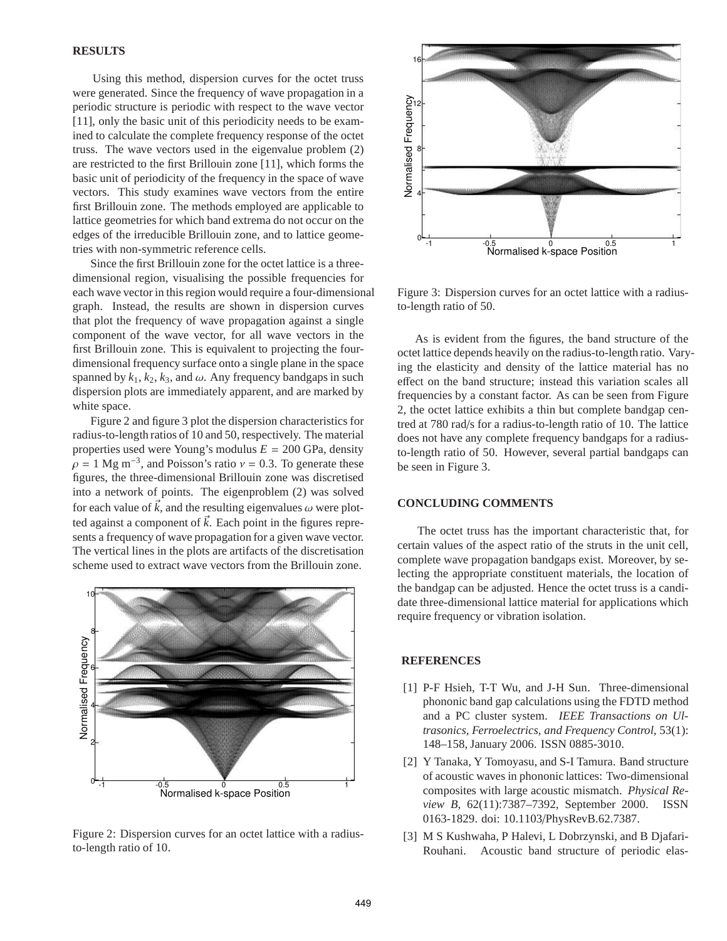#### **RESULTS**

Using this method, dispersion curves for the octet truss were generated. Since the frequency of wave propagation in a periodic structure is periodic with respect to the wave vector [11], only the basic unit of this periodicity needs to be examined to calculate the complete frequency response of the octet truss. The wave vectors used in the eigenvalue problem (2) are restricted to the first Brillouin zone [11], which forms the basic unit of periodicity of the frequency in the space of wave vectors. This study examines wave vectors from the entire first Brillouin zone. The methods employed are applicable to lattice geometries for which band extrema do not occur on the edges of the irreducible Brillouin zone, and to lattice geometries with non-symmetric reference cells.

Since the first Brillouin zone for the octet lattice is a threedimensional region, visualising the possible frequencies for each wave vector in this region would require a four-dimensional graph. Instead, the results are shown in dispersion curves that plot the frequency of wave propagation against a single component of the wave vector, for all wave vectors in the first Brillouin zone. This is equivalent to projecting the fourdimensional frequency surface onto a single plane in the space spanned by  $k_1$ ,  $k_2$ ,  $k_3$ , and  $\omega$ . Any frequency bandgaps in such dispersion plots are immediately apparent, and are marked by white space.

Figure 2 and figure 3 plot the dispersion characteristics for radius-to-length ratios of 10 and 50, respectively. The material properties used were Young's modulus  $E = 200$  GPa, density  $\rho = 1$  Mg m<sup>-3</sup>, and Poisson's ratio  $v = 0.3$ . To generate these figures, the three-dimensional Brillouin zone was discretised into a network of points. The eigenproblem (2) was solved for each value of  $\vec{k}$ , and the resulting eigenvalues  $\omega$  were plotted against a component of  $\vec{k}$ . Each point in the figures represents a frequency of wave propagation for a given wave vector. The vertical lines in the plots are artifacts of the discretisation scheme used to extract wave vectors from the Brillouin zone.



Figure 2: Dispersion curves for an octet lattice with a radiusto-length ratio of 10.



Figure 3: Dispersion curves for an octet lattice with a radiusto-length ratio of 50.

As is evident from the figures, the band structure of the octet lattice depends heavily on the radius-to-length ratio. Varying the elasticity and density of the lattice material has no effect on the band structure; instead this variation scales all frequencies by a constant factor. As can be seen from Figure 2, the octet lattice exhibits a thin but complete bandgap centred at 780 rad/s for a radius-to-length ratio of 10. The lattice does not have any complete frequency bandgaps for a radiusto-length ratio of 50. However, several partial bandgaps can be seen in Figure 3.

# **CONCLUDING COMMENTS**

The octet truss has the important characteristic that, for certain values of the aspect ratio of the struts in the unit cell, complete wave propagation bandgaps exist. Moreover, by selecting the appropriate constituent materials, the location of the bandgap can be adjusted. Hence the octet truss is a candidate three-dimensional lattice material for applications which require frequency or vibration isolation.

# **REFERENCES**

- [1] P-F Hsieh, T-T Wu, and J-H Sun. Three-dimensional phononic band gap calculations using the FDTD method and a PC cluster system. *IEEE Transactions on Ultrasonics, Ferroelectrics, and Frequency Control*, 53(1): 148–158, January 2006. ISSN 0885-3010.
- [2] Y Tanaka, Y Tomoyasu, and S-I Tamura. Band structure of acoustic waves in phononic lattices: Two-dimensional composites with large acoustic mismatch. *Physical Review B*, 62(11):7387–7392, September 2000. ISSN 0163-1829. doi: 10.1103/PhysRevB.62.7387.
- [3] M S Kushwaha, P Halevi, L Dobrzynski, and B Djafari-Rouhani. Acoustic band structure of periodic elas-